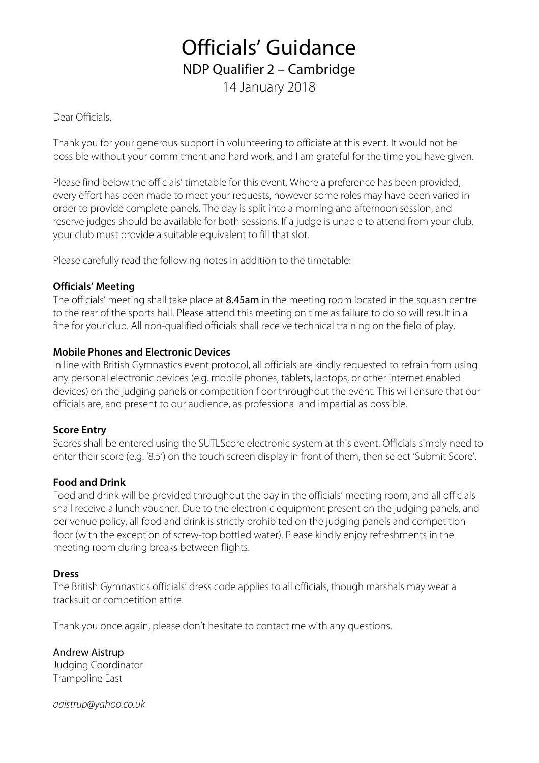# Officials' Guidance

NDP Qualifier 2 – Cambridge

14 January 2018

Dear Officials,

Thank you for your generous support in volunteering to officiate at this event. It would not be possible without your commitment and hard work, and I am grateful for the time you have given.

Please find below the officials' timetable for this event. Where a preference has been provided, every effort has been made to meet your requests, however some roles may have been varied in order to provide complete panels. The day is split into a morning and afternoon session, and reserve judges should be available for both sessions. If a judge is unable to attend from your club, your club must provide a suitable equivalent to fill that slot.

Please carefully read the following notes in addition to the timetable:

### **Officials' Meeting**

The officials' meeting shall take place at 8.45am in the meeting room located in the squash centre to the rear of the sports hall. Please attend this meeting on time as failure to do so will result in a fine for your club. All non-qualified officials shall receive technical training on the field of play.

### **Mobile Phones and Electronic Devices**

In line with British Gymnastics event protocol, all officials are kindly requested to refrain from using any personal electronic devices (e.g. mobile phones, tablets, laptops, or other internet enabled devices) on the judging panels or competition floor throughout the event. This will ensure that our officials are, and present to our audience, as professional and impartial as possible.

### **Score Entry**

Scores shall be entered using the SUTLScore electronic system at this event. Officials simply need to enter their score (e.g. '8.5') on the touch screen display in front of them, then select 'Submit Score'.

### **Food and Drink**

Food and drink will be provided throughout the day in the officials' meeting room, and all officials shall receive a lunch voucher. Due to the electronic equipment present on the judging panels, and per venue policy, all food and drink is strictly prohibited on the judging panels and competition floor (with the exception of screw-top bottled water). Please kindly enjoy refreshments in the meeting room during breaks between flights.

### **Dress**

The British Gymnastics officials' dress code applies to all officials, though marshals may wear a tracksuit or competition attire.

Thank you once again, please don't hesitate to contact me with any questions.

Andrew Aistrup Judging Coordinator Trampoline East

*aaistrup@yahoo.co.uk*